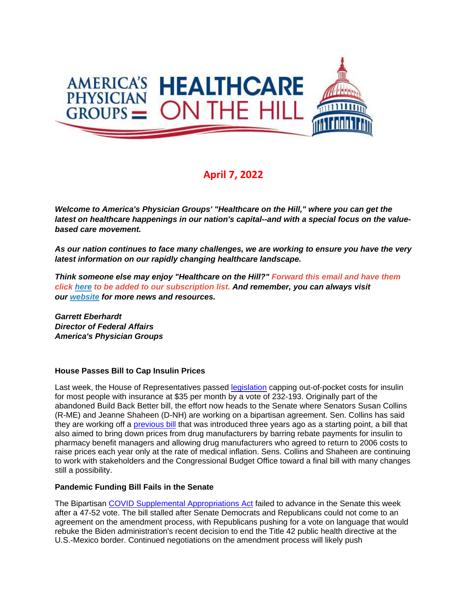

# **April 7, 2022**

*Welcome to America's Physician Groups' "Healthcare on the Hill," where you can get the latest on healthcare happenings in our nation's capital--and with a special focus on the valuebased care movement.*

*As our nation continues to face many challenges, we are working to ensure you have the very latest information on our rapidly changing healthcare landscape.*

*Think someone else may enjoy "Healthcare on the Hill?" Forward this email and have them click [here](mailto:srobinette@apg.org) to be added to our subscription list. And remember, you can always visit our [website](http://link.apg.org/c/7/eyJhaSI6Njk4MDUxNDQsImUiOiJncGhpbGxpcHNAYXBnLm9yZyIsInJpIjoiY29udGFjdC03YWMxOTAzZjFkYzVlYTExYTgxMjAwMGQzYTVhMTdlMy00ZDBkOTAzNmQyYjk0MTAyOTYxNWRmMDUwOTNjNzI2YyIsInJxIjoiMDItYjIyMDExLTZmOTFiNjc1MWVkZjQ0ZDk5YmJkNTc5ZGFkMDFlZGEzIiwicGgiOm51bGwsIm0iOmZhbHNlLCJ1aSI6IjAiLCJ1biI6IiIsInUiOiJodHRwOi8vd3d3LmFwZy5vcmc_X2NsZGVlPVozQm9hV3hzYVhCelFHRndaeTV2Y21jJTNkJnJlY2lwaWVudGlkPWNvbnRhY3QtN2FjMTkwM2YxZGM1ZWExMWE4MTIwMDBkM2E1YTE3ZTMtNGQwZDkwMzZkMmI5NDEwMjk2MTVkZjA1MDkzYzcyNmMmZXNpZD1hOGM3MmIyZi04YTcyLWVjMTEtODk0My0wMDBkM2E1OTkzYWEifQ/SOn7YH87DCIKhgwwa7sBuQ) for more news and resources.* 

*Garrett Eberhardt Director of Federal Affairs America's Physician Groups*

#### **House Passes Bill to Cap Insulin Prices**

Last week, the House of Representatives passed [legislation](http://link.apg.org/c/7/eyJhaSI6Njk4MDUxNDQsImUiOiJncGhpbGxpcHNAYXBnLm9yZyIsInJpIjoiY29udGFjdC03YWMxOTAzZjFkYzVlYTExYTgxMjAwMGQzYTVhMTdlMy1kNWYzZWFmNTA1M2Q0OTlmYWJlNzE3ZTk0NDZiZWY5MSIsInJxIjoiMDItYjIyMDk3LTY2Zjg5OTAzNGIzYTRiODI4ZmRjYWVhYzAyNTVjZTRmIiwicGgiOm51bGwsIm0iOmZhbHNlLCJ1aSI6IjIiLCJ1biI6IiIsInUiOiJodHRwczovL3d3dy5jb25ncmVzcy5nb3YvMTE3L2JpbGxzL2hyNjgzMy9CSUxMUy0xMTdocjY4MzNlaC5wZGY_X2NsZGVlPWVwSUlXU0RORHpRZjVIYWNhVUc1aWprQWI1R1hTZUNOcl9YUTVrMjlhMjNMTnVkOGgtalp5NHNBM01BaDJKMGomcmVjaXBpZW50aWQ9Y29udGFjdC03YWMxOTAzZjFkYzVlYTExYTgxMjAwMGQzYTVhMTdlMy1kNWYzZWFmNTA1M2Q0OTlmYWJlNzE3ZTk0NDZiZWY5MSZlc2lkPWFmZWFlNWZjLWEwYjYtZWMxMS05ODNmLTAwMGQzYTVkMjJiNyJ9/7kR_atkTsWxICl6TryB_5Q) capping out-of-pocket costs for insulin for most people with insurance at \$35 per month by a vote of 232-193. Originally part of the abandoned Build Back Better bill, the effort now heads to the Senate where Senators Susan Collins (R-ME) and Jeanne Shaheen (D-NH) are working on a bipartisan agreement. Sen. Collins has said they are working off a [previous bill](http://link.apg.org/c/7/eyJhaSI6Njk4MDUxNDQsImUiOiJncGhpbGxpcHNAYXBnLm9yZyIsInJpIjoiY29udGFjdC03YWMxOTAzZjFkYzVlYTExYTgxMjAwMGQzYTVhMTdlMy1kNWYzZWFmNTA1M2Q0OTlmYWJlNzE3ZTk0NDZiZWY5MSIsInJxIjoiMDItYjIyMDk3LTY2Zjg5OTAzNGIzYTRiODI4ZmRjYWVhYzAyNTVjZTRmIiwicGgiOm51bGwsIm0iOmZhbHNlLCJ1aSI6IjMiLCJ1biI6IiIsInUiOiJodHRwczovL3d3dy5zaGFoZWVuLnNlbmF0ZS5nb3YvaW1vL21lZGlhL2RvYy9JbnN1bGluJTIwUHJpY2UlMjBSZWR1Y3Rpb24lMjBBY3QlMjBTdW1tYXJ5LnBkZj9fY2xkZWU9ZXBJSVdTRE5EelFmNUhhY2FVRzVpamtBYjVHWFNlQ05yX1hRNWsyOWEyM0xOdWQ4aC1qWnk0c0EzTUFoMkowaiZyZWNpcGllbnRpZD1jb250YWN0LTdhYzE5MDNmMWRjNWVhMTFhODEyMDAwZDNhNWExN2UzLWQ1ZjNlYWY1MDUzZDQ5OWZhYmU3MTdlOTQ0NmJlZjkxJmVzaWQ9YWZlYWU1ZmMtYTBiNi1lYzExLTk4M2YtMDAwZDNhNWQyMmI3In0/Icx5rA7i5NQBaRXOElgDQQ) that was introduced three years ago as a starting point, a bill that also aimed to bring down prices from drug manufacturers by barring rebate payments for insulin to pharmacy benefit managers and allowing drug manufacturers who agreed to return to 2006 costs to raise prices each year only at the rate of medical inflation. Sens. Collins and Shaheen are continuing to work with stakeholders and the Congressional Budget Office toward a final bill with many changes still a possibility.

#### **Pandemic Funding Bill Fails in the Senate**

The Bipartisan [COVID Supplemental Appropriations Act](http://link.apg.org/c/7/eyJhaSI6Njk4MDUxNDQsImUiOiJncGhpbGxpcHNAYXBnLm9yZyIsInJpIjoiY29udGFjdC03YWMxOTAzZjFkYzVlYTExYTgxMjAwMGQzYTVhMTdlMy1kNWYzZWFmNTA1M2Q0OTlmYWJlNzE3ZTk0NDZiZWY5MSIsInJxIjoiMDItYjIyMDk3LTY2Zjg5OTAzNGIzYTRiODI4ZmRjYWVhYzAyNTVjZTRmIiwicGgiOm51bGwsIm0iOmZhbHNlLCJ1aSI6IjQiLCJ1biI6IiIsInUiOiJodHRwczovL3d3dy5kZW1vY3JhdHMuc2VuYXRlLmdvdi9pbW8vbWVkaWEvZG9jL292ZXJ2aWV3X29mX2JpcGFydGlzYW5fY292aWRfc3VwcGxlbWVudGFsX2FwcHJvcHJpYXRpb25zX2FjdC5wZGY_X2NsZGVlPWVwSUlXU0RORHpRZjVIYWNhVUc1aWprQWI1R1hTZUNOcl9YUTVrMjlhMjNMTnVkOGgtalp5NHNBM01BaDJKMGomcmVjaXBpZW50aWQ9Y29udGFjdC03YWMxOTAzZjFkYzVlYTExYTgxMjAwMGQzYTVhMTdlMy1kNWYzZWFmNTA1M2Q0OTlmYWJlNzE3ZTk0NDZiZWY5MSZlc2lkPWFmZWFlNWZjLWEwYjYtZWMxMS05ODNmLTAwMGQzYTVkMjJiNyJ9/FjeztBBaTTVqpJuruTSWaw) failed to advance in the Senate this week after a 47-52 vote. The bill stalled after Senate Democrats and Republicans could not come to an agreement on the amendment process, with Republicans pushing for a vote on language that would rebuke the Biden administration's recent decision to end the Title 42 public health directive at the U.S.-Mexico border. Continued negotiations on the amendment process will likely push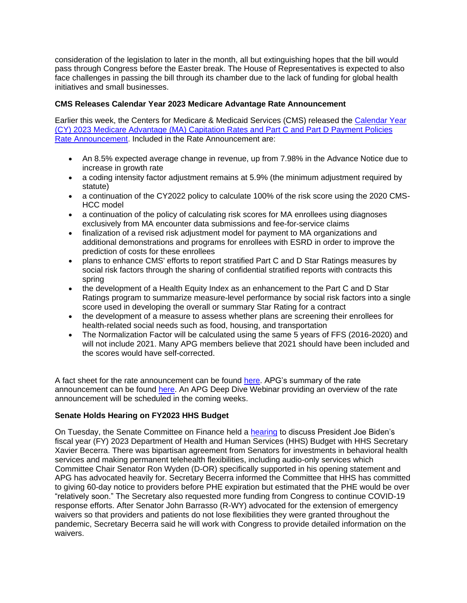consideration of the legislation to later in the month, all but extinguishing hopes that the bill would pass through Congress before the Easter break. The House of Representatives is expected to also face challenges in passing the bill through its chamber due to the lack of funding for global health initiatives and small businesses.

### **CMS Releases Calendar Year 2023 Medicare Advantage Rate Announcement**

Earlier this week, the Centers for Medicare & Medicaid Services (CMS) released the [Calendar Year](http://link.apg.org/c/7/eyJhaSI6Njk4MDUxNDQsImUiOiJncGhpbGxpcHNAYXBnLm9yZyIsInJpIjoiY29udGFjdC03YWMxOTAzZjFkYzVlYTExYTgxMjAwMGQzYTVhMTdlMy1kNWYzZWFmNTA1M2Q0OTlmYWJlNzE3ZTk0NDZiZWY5MSIsInJxIjoiMDItYjIyMDk3LTY2Zjg5OTAzNGIzYTRiODI4ZmRjYWVhYzAyNTVjZTRmIiwicGgiOm51bGwsIm0iOmZhbHNlLCJ1aSI6IjUiLCJ1biI6IiIsInUiOiJodHRwOi8vbGluay5hcGcub3JnL2MvNy9leUpoYVNJNk5qazRNRFV4TkRRc0ltVWlPaUoyWVd4cGJtUmhMbkoxZEd4bFpHZGxRSFZ3YzNSeVpXRnRMbU5oY21VaUxDSnlhU0k2SW1OdmJuUmhZM1F0TVdVeU16RTNOR014TlRsaVpXTXhNV0kwTURBd01EQmtNMkV6WWpKa1pqa3RORGhpWXpJME5UWTBaVE0zTkdFM1kySTNOV00wWlRSaFlXUmxPRGhpTkRJaUxDSnljU0k2SWpBeUxXSXlNakE1TkMxbVlqYzNabVF6WldRNVpUTTBOREV4T0RJNU5ETmxZalptWW1ReFpXUTJNaUlzSW5Cb0lqcHVkV3hzTENKdElqcG1ZV3h6WlN3aWRXa2lPaUl3SWl3aWRXNGlPaUlpTENKMUlqb2lhSFIwY0hNNkx5OTNkM2N1WTIxekxtZHZkaTltYVd4bGN5OWtiMk4xYldWdWRDOHlNREl6TFdGdWJtOTFibU5sYldWdWRDNXdaR1lfWDJOc1pHVmxQVGhUUm5oWlpHTmZVVkpmV0ZKVGVqUlRSREZpYzNNdFRGODRkalo2Umt0emJHcEliR014V1d0c1lWVlJNbnBFTWtkcU5UYzRkR1E1T0ZjM2VuaGFaRmxuVjBVeFNHbDZkV2s0Vm1GdWExSXRURTFMUkZoQkpuSmxZMmx3YVdWdWRHbGtQV052Ym5SaFkzUXRNV1V5TXpFM05HTXhOVGxpWldNeE1XSTBNREF3TURCa00yRXpZakprWmprdE5EaGlZekkwTlRZMFpUTTNOR0UzWTJJM05XTTBaVFJoWVdSbE9EaGlOREltWlhOcFpEMWxORFF3WVRKallpMDFObUkwTFdWak1URXRPVGd6Wmkwd01EQmtNMkUxWkRJeVlqY2lmUS94b29uSmJFTFBncnlrbTVfTE1rSEhBP19jbGRlZT1lcElJV1NETkR6UWY1SGFjYVVHNWlqa0FiNUdYU2VDTnJfWFE1azI5YTIzTE51ZDhoLWpaeTRzQTNNQWgySjBqJnJlY2lwaWVudGlkPWNvbnRhY3QtN2FjMTkwM2YxZGM1ZWExMWE4MTIwMDBkM2E1YTE3ZTMtZDVmM2VhZjUwNTNkNDk5ZmFiZTcxN2U5NDQ2YmVmOTEmZXNpZD1hZmVhZTVmYy1hMGI2LWVjMTEtOTgzZi0wMDBkM2E1ZDIyYjcifQ/ggW5TWbn9KAcDM-hRNkn2Q)  [\(CY\) 2023 Medicare Advantage \(MA\) Capitation Rates and Part C and Part D Payment Policies](http://link.apg.org/c/7/eyJhaSI6Njk4MDUxNDQsImUiOiJncGhpbGxpcHNAYXBnLm9yZyIsInJpIjoiY29udGFjdC03YWMxOTAzZjFkYzVlYTExYTgxMjAwMGQzYTVhMTdlMy1kNWYzZWFmNTA1M2Q0OTlmYWJlNzE3ZTk0NDZiZWY5MSIsInJxIjoiMDItYjIyMDk3LTY2Zjg5OTAzNGIzYTRiODI4ZmRjYWVhYzAyNTVjZTRmIiwicGgiOm51bGwsIm0iOmZhbHNlLCJ1aSI6IjUiLCJ1biI6IiIsInUiOiJodHRwOi8vbGluay5hcGcub3JnL2MvNy9leUpoYVNJNk5qazRNRFV4TkRRc0ltVWlPaUoyWVd4cGJtUmhMbkoxZEd4bFpHZGxRSFZ3YzNSeVpXRnRMbU5oY21VaUxDSnlhU0k2SW1OdmJuUmhZM1F0TVdVeU16RTNOR014TlRsaVpXTXhNV0kwTURBd01EQmtNMkV6WWpKa1pqa3RORGhpWXpJME5UWTBaVE0zTkdFM1kySTNOV00wWlRSaFlXUmxPRGhpTkRJaUxDSnljU0k2SWpBeUxXSXlNakE1TkMxbVlqYzNabVF6WldRNVpUTTBOREV4T0RJNU5ETmxZalptWW1ReFpXUTJNaUlzSW5Cb0lqcHVkV3hzTENKdElqcG1ZV3h6WlN3aWRXa2lPaUl3SWl3aWRXNGlPaUlpTENKMUlqb2lhSFIwY0hNNkx5OTNkM2N1WTIxekxtZHZkaTltYVd4bGN5OWtiMk4xYldWdWRDOHlNREl6TFdGdWJtOTFibU5sYldWdWRDNXdaR1lfWDJOc1pHVmxQVGhUUm5oWlpHTmZVVkpmV0ZKVGVqUlRSREZpYzNNdFRGODRkalo2Umt0emJHcEliR014V1d0c1lWVlJNbnBFTWtkcU5UYzRkR1E1T0ZjM2VuaGFaRmxuVjBVeFNHbDZkV2s0Vm1GdWExSXRURTFMUkZoQkpuSmxZMmx3YVdWdWRHbGtQV052Ym5SaFkzUXRNV1V5TXpFM05HTXhOVGxpWldNeE1XSTBNREF3TURCa00yRXpZakprWmprdE5EaGlZekkwTlRZMFpUTTNOR0UzWTJJM05XTTBaVFJoWVdSbE9EaGlOREltWlhOcFpEMWxORFF3WVRKallpMDFObUkwTFdWak1URXRPVGd6Wmkwd01EQmtNMkUxWkRJeVlqY2lmUS94b29uSmJFTFBncnlrbTVfTE1rSEhBP19jbGRlZT1lcElJV1NETkR6UWY1SGFjYVVHNWlqa0FiNUdYU2VDTnJfWFE1azI5YTIzTE51ZDhoLWpaeTRzQTNNQWgySjBqJnJlY2lwaWVudGlkPWNvbnRhY3QtN2FjMTkwM2YxZGM1ZWExMWE4MTIwMDBkM2E1YTE3ZTMtZDVmM2VhZjUwNTNkNDk5ZmFiZTcxN2U5NDQ2YmVmOTEmZXNpZD1hZmVhZTVmYy1hMGI2LWVjMTEtOTgzZi0wMDBkM2E1ZDIyYjcifQ/ggW5TWbn9KAcDM-hRNkn2Q)  [Rate Announcement.](http://link.apg.org/c/7/eyJhaSI6Njk4MDUxNDQsImUiOiJncGhpbGxpcHNAYXBnLm9yZyIsInJpIjoiY29udGFjdC03YWMxOTAzZjFkYzVlYTExYTgxMjAwMGQzYTVhMTdlMy1kNWYzZWFmNTA1M2Q0OTlmYWJlNzE3ZTk0NDZiZWY5MSIsInJxIjoiMDItYjIyMDk3LTY2Zjg5OTAzNGIzYTRiODI4ZmRjYWVhYzAyNTVjZTRmIiwicGgiOm51bGwsIm0iOmZhbHNlLCJ1aSI6IjUiLCJ1biI6IiIsInUiOiJodHRwOi8vbGluay5hcGcub3JnL2MvNy9leUpoYVNJNk5qazRNRFV4TkRRc0ltVWlPaUoyWVd4cGJtUmhMbkoxZEd4bFpHZGxRSFZ3YzNSeVpXRnRMbU5oY21VaUxDSnlhU0k2SW1OdmJuUmhZM1F0TVdVeU16RTNOR014TlRsaVpXTXhNV0kwTURBd01EQmtNMkV6WWpKa1pqa3RORGhpWXpJME5UWTBaVE0zTkdFM1kySTNOV00wWlRSaFlXUmxPRGhpTkRJaUxDSnljU0k2SWpBeUxXSXlNakE1TkMxbVlqYzNabVF6WldRNVpUTTBOREV4T0RJNU5ETmxZalptWW1ReFpXUTJNaUlzSW5Cb0lqcHVkV3hzTENKdElqcG1ZV3h6WlN3aWRXa2lPaUl3SWl3aWRXNGlPaUlpTENKMUlqb2lhSFIwY0hNNkx5OTNkM2N1WTIxekxtZHZkaTltYVd4bGN5OWtiMk4xYldWdWRDOHlNREl6TFdGdWJtOTFibU5sYldWdWRDNXdaR1lfWDJOc1pHVmxQVGhUUm5oWlpHTmZVVkpmV0ZKVGVqUlRSREZpYzNNdFRGODRkalo2Umt0emJHcEliR014V1d0c1lWVlJNbnBFTWtkcU5UYzRkR1E1T0ZjM2VuaGFaRmxuVjBVeFNHbDZkV2s0Vm1GdWExSXRURTFMUkZoQkpuSmxZMmx3YVdWdWRHbGtQV052Ym5SaFkzUXRNV1V5TXpFM05HTXhOVGxpWldNeE1XSTBNREF3TURCa00yRXpZakprWmprdE5EaGlZekkwTlRZMFpUTTNOR0UzWTJJM05XTTBaVFJoWVdSbE9EaGlOREltWlhOcFpEMWxORFF3WVRKallpMDFObUkwTFdWak1URXRPVGd6Wmkwd01EQmtNMkUxWkRJeVlqY2lmUS94b29uSmJFTFBncnlrbTVfTE1rSEhBP19jbGRlZT1lcElJV1NETkR6UWY1SGFjYVVHNWlqa0FiNUdYU2VDTnJfWFE1azI5YTIzTE51ZDhoLWpaeTRzQTNNQWgySjBqJnJlY2lwaWVudGlkPWNvbnRhY3QtN2FjMTkwM2YxZGM1ZWExMWE4MTIwMDBkM2E1YTE3ZTMtZDVmM2VhZjUwNTNkNDk5ZmFiZTcxN2U5NDQ2YmVmOTEmZXNpZD1hZmVhZTVmYy1hMGI2LWVjMTEtOTgzZi0wMDBkM2E1ZDIyYjcifQ/ggW5TWbn9KAcDM-hRNkn2Q) Included in the Rate Announcement are:

- An 8.5% expected average change in revenue, up from 7.98% in the Advance Notice due to increase in growth rate
- a coding intensity factor adjustment remains at 5.9% (the minimum adjustment required by statute)
- a continuation of the CY2022 policy to calculate 100% of the risk score using the 2020 CMS-HCC model
- a continuation of the policy of calculating risk scores for MA enrollees using diagnoses exclusively from MA encounter data submissions and fee-for-service claims
- finalization of a revised risk adjustment model for payment to MA organizations and additional demonstrations and programs for enrollees with ESRD in order to improve the prediction of costs for these enrollees
- plans to enhance CMS' efforts to report stratified Part C and D Star Ratings measures by social risk factors through the sharing of confidential stratified reports with contracts this spring
- the development of a Health Equity Index as an enhancement to the Part C and D Star Ratings program to summarize measure-level performance by social risk factors into a single score used in developing the overall or summary Star Rating for a contract
- the development of a measure to assess whether plans are screening their enrollees for health-related social needs such as food, housing, and transportation
- The Normalization Factor will be calculated using the same 5 years of FFS (2016-2020) and will not include 2021. Many APG members believe that 2021 should have been included and the scores would have self-corrected.

A fact sheet for the rate announcement can be found [here.](http://link.apg.org/c/7/eyJhaSI6Njk4MDUxNDQsImUiOiJncGhpbGxpcHNAYXBnLm9yZyIsInJpIjoiY29udGFjdC03YWMxOTAzZjFkYzVlYTExYTgxMjAwMGQzYTVhMTdlMy1kNWYzZWFmNTA1M2Q0OTlmYWJlNzE3ZTk0NDZiZWY5MSIsInJxIjoiMDItYjIyMDk3LTY2Zjg5OTAzNGIzYTRiODI4ZmRjYWVhYzAyNTVjZTRmIiwicGgiOm51bGwsIm0iOmZhbHNlLCJ1aSI6IjYiLCJ1biI6IiIsInUiOiJodHRwOi8vbGluay5hcGcub3JnL2MvNy9leUpoYVNJNk5qazRNRFV4TkRRc0ltVWlPaUoyWVd4cGJtUmhMbkoxZEd4bFpHZGxRSFZ3YzNSeVpXRnRMbU5oY21VaUxDSnlhU0k2SW1OdmJuUmhZM1F0TVdVeU16RTNOR014TlRsaVpXTXhNV0kwTURBd01EQmtNMkV6WWpKa1pqa3RORGhpWXpJME5UWTBaVE0zTkdFM1kySTNOV00wWlRSaFlXUmxPRGhpTkRJaUxDSnljU0k2SWpBeUxXSXlNakE1TkMxbVlqYzNabVF6WldRNVpUTTBOREV4T0RJNU5ETmxZalptWW1ReFpXUTJNaUlzSW5Cb0lqcHVkV3hzTENKdElqcG1ZV3h6WlN3aWRXa2lPaUl4SWl3aWRXNGlPaUlpTENKMUlqb2lhSFIwY0hNNkx5OTNkM2N1WTIxekxtZHZkaTl1WlhkemNtOXZiUzltWVdOMExYTm9aV1YwY3k4eU1ESXpMVzFsWkdsallYSmxMV0ZrZG1GdWRHRm5aUzFoYm1RdGNHRnlkQzFrTFhKaGRHVXRZVzV1YjNWdVkyVnRaVzUwUDE5amJHUmxaVDA0VTBaNFdXUmpYMUZTWDFoU1UzbzBVMFF4WW5OekxVeGZPSFkyZWtaTGMyeHFTR3hqTVZscmJHRlZVVEo2UkRKSGFqVTNPSFJrT1RoWE4zcDRXbVJaWjFkRk1VaHBlblZwT0ZaaGJtdFNMVXhOUzBSWVFTWnlaV05wY0dsbGJuUnBaRDFqYjI1MFlXTjBMVEZsTWpNeE56UmpNVFU1WW1Wak1URmlOREF3TURBd1pETmhNMkl5WkdZNUxUUTRZbU15TkRVMk5HVXpOelJoTjJOaU56VmpOR1UwWVdGa1pUZzRZalF5Sm1WemFXUTlaVFEwTUdFeVkySXROVFppTkMxbFl6RXhMVGs0TTJZdE1EQXdaRE5oTldReU1tSTNJbjAvRDhOdGtGb1RvZGpfOHVXZXRaZ3lEUT9fY2xkZWU9ZXBJSVdTRE5EelFmNUhhY2FVRzVpamtBYjVHWFNlQ05yX1hRNWsyOWEyM0xOdWQ4aC1qWnk0c0EzTUFoMkowaiZyZWNpcGllbnRpZD1jb250YWN0LTdhYzE5MDNmMWRjNWVhMTFhODEyMDAwZDNhNWExN2UzLWQ1ZjNlYWY1MDUzZDQ5OWZhYmU3MTdlOTQ0NmJlZjkxJmVzaWQ9YWZlYWU1ZmMtYTBiNi1lYzExLTk4M2YtMDAwZDNhNWQyMmI3In0/5kBX6nOM3PIIuWHXBI4vJg) APG's summary of the rate announcement can be found [here.](http://link.apg.org/c/7/eyJhaSI6Njk4MDUxNDQsImUiOiJncGhpbGxpcHNAYXBnLm9yZyIsInJpIjoiY29udGFjdC03YWMxOTAzZjFkYzVlYTExYTgxMjAwMGQzYTVhMTdlMy1kNWYzZWFmNTA1M2Q0OTlmYWJlNzE3ZTk0NDZiZWY5MSIsInJxIjoiMDItYjIyMDk3LTY2Zjg5OTAzNGIzYTRiODI4ZmRjYWVhYzAyNTVjZTRmIiwicGgiOm51bGwsIm0iOmZhbHNlLCJ1aSI6IjciLCJ1biI6IiIsInUiOiJodHRwczovL3d3dy5hcGcub3JnL3dwLWNvbnRlbnQvdXBsb2Fkcy8yMDIyLzA0L0NZMjAyMy1NZWRpY2FyZS1BZHZhbnRhZ2UtUmF0ZS1Bbm5vdW5jZW1lbnQtU3VtbWFyeS5wZGY_X2NsZGVlPWVwSUlXU0RORHpRZjVIYWNhVUc1aWprQWI1R1hTZUNOcl9YUTVrMjlhMjNMTnVkOGgtalp5NHNBM01BaDJKMGomcmVjaXBpZW50aWQ9Y29udGFjdC03YWMxOTAzZjFkYzVlYTExYTgxMjAwMGQzYTVhMTdlMy1kNWYzZWFmNTA1M2Q0OTlmYWJlNzE3ZTk0NDZiZWY5MSZlc2lkPWFmZWFlNWZjLWEwYjYtZWMxMS05ODNmLTAwMGQzYTVkMjJiNyJ9/kzeHMzZ7Rvz1gLF7ySHSpg) An APG Deep Dive Webinar providing an overview of the rate announcement will be scheduled in the coming weeks.

## **Senate Holds Hearing on FY2023 HHS Budget**

On Tuesday, the Senate Committee on Finance held a [hearing](http://link.apg.org/c/7/eyJhaSI6Njk4MDUxNDQsImUiOiJncGhpbGxpcHNAYXBnLm9yZyIsInJpIjoiY29udGFjdC03YWMxOTAzZjFkYzVlYTExYTgxMjAwMGQzYTVhMTdlMy1kNWYzZWFmNTA1M2Q0OTlmYWJlNzE3ZTk0NDZiZWY5MSIsInJxIjoiMDItYjIyMDk3LTY2Zjg5OTAzNGIzYTRiODI4ZmRjYWVhYzAyNTVjZTRmIiwicGgiOm51bGwsIm0iOmZhbHNlLCJ1aSI6IjgiLCJ1biI6IiIsInUiOiJodHRwczovL3IyMC5yczYubmV0L3RuLmpzcD9mPTAwMTliWnhpVVVEZU1ia1JnWUNIZ1VvQVRmWnZsTy1nMmJCWjlmOVZNMTd1elRiQ2F6M0JtUk9wekJIXy0yaV84WndqS0txVFduSzRXQkEtdEZsSE1QYzY0V0QxT20wQUtJOWR6SVE0SktGdHJzcmxweHFodkh6TmRYZTgteU5jVVJFSTRHUGg2Qk0zLVJJdnFYZGJCaU1qSVY4Ri1jN2E0YUhzZC1Cdmc2RmpaZkJSY3A5THRqTzF0MFRLMDJaWERwWEJjVS1NdGlNaXB0a2M0TUxnemkyOHJJRXBwMGIwdWt0VUEtakUxSmJaQUtHbWlHclRkUVRyVWZhdkgzSjZPLXomYz1MNnFlaXY3cC1Rd2Exd0d0NzF3ekM4ZDR1TE9KWE1tMUVVVWhEMU1mV1VKaEs0Q3F0dC1lREE9PSZjaD1DaEFsWXkzcXQ2SXB1MzBha09BZ29CREJ4UDA1SnZfWlB3SEJCc3hFTlBjaGZEUVl2QW5KSVE9PSZfY2xkZWU9ZXBJSVdTRE5EelFmNUhhY2FVRzVpamtBYjVHWFNlQ05yX1hRNWsyOWEyM0xOdWQ4aC1qWnk0c0EzTUFoMkowaiZyZWNpcGllbnRpZD1jb250YWN0LTdhYzE5MDNmMWRjNWVhMTFhODEyMDAwZDNhNWExN2UzLWQ1ZjNlYWY1MDUzZDQ5OWZhYmU3MTdlOTQ0NmJlZjkxJmVzaWQ9YWZlYWU1ZmMtYTBiNi1lYzExLTk4M2YtMDAwZDNhNWQyMmI3In0/-l4kALfFVSSiuZ0IDIJ9lg) to discuss President Joe Biden's fiscal year (FY) 2023 Department of Health and Human Services (HHS) Budget with HHS Secretary Xavier Becerra. There was bipartisan agreement from Senators for investments in behavioral health services and making permanent telehealth flexibilities, including audio-only services which Committee Chair Senator Ron Wyden (D-OR) specifically supported in his opening statement and APG has advocated heavily for. Secretary Becerra informed the Committee that HHS has committed to giving 60-day notice to providers before PHE expiration but estimated that the PHE would be over "relatively soon." The Secretary also requested more funding from Congress to continue COVID-19 response efforts. After Senator John Barrasso (R-WY) advocated for the extension of emergency waivers so that providers and patients do not lose flexibilities they were granted throughout the pandemic, Secretary Becerra said he will work with Congress to provide detailed information on the waivers.